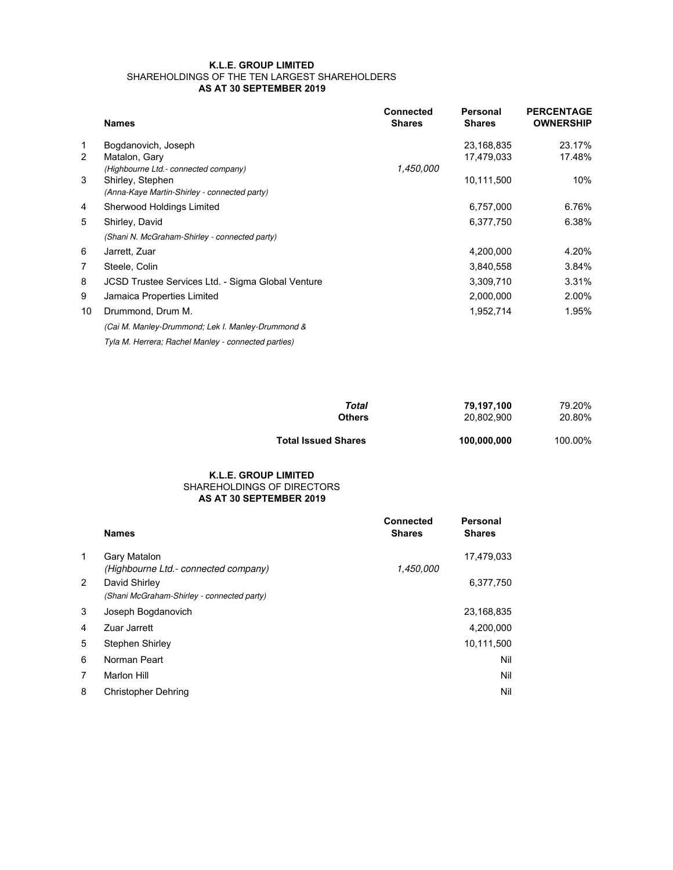## **K.L.E. GROUP LIMITED** SHAREHOLDINGS OF THE TEN LARGEST SHAREHOLDERS **AS AT 30 SEPTEMBER 2019**

|                | <b>Names</b>                                        | <b>Connected</b><br><b>Shares</b> | Personal<br><b>Shares</b> | <b>PERCENTAGE</b><br><b>OWNERSHIP</b> |
|----------------|-----------------------------------------------------|-----------------------------------|---------------------------|---------------------------------------|
| 1              | Bogdanovich, Joseph                                 |                                   | 23,168,835                | 23.17%                                |
| 2              | Matalon, Gary                                       |                                   | 17,479,033                | 17.48%                                |
|                | (Highbourne Ltd.- connected company)                | 1,450,000                         |                           |                                       |
| 3              | Shirley, Stephen                                    |                                   | 10,111,500                | 10%                                   |
|                | (Anna-Kaye Martin-Shirley - connected party)        |                                   |                           |                                       |
| 4              | Sherwood Holdings Limited                           |                                   | 6,757,000                 | 6.76%                                 |
| 5              | Shirley, David                                      |                                   | 6,377,750                 | 6.38%                                 |
|                | (Shani N. McGraham-Shirley - connected party)       |                                   |                           |                                       |
| 6              | Jarrett, Zuar                                       |                                   | 4,200,000                 | 4.20%                                 |
| $\overline{7}$ | Steele, Colin                                       |                                   | 3,840,558                 | 3.84%                                 |
| 8              | JCSD Trustee Services Ltd. - Sigma Global Venture   |                                   | 3,309,710                 | 3.31%                                 |
| 9              | Jamaica Properties Limited                          |                                   | 2,000,000                 | 2.00%                                 |
| 10             | Drummond, Drum M.                                   |                                   | 1,952,714                 | 1.95%                                 |
|                | (Cai M. Manley-Drummond; Lek I. Manley-Drummond &   |                                   |                           |                                       |
|                | Tyla M. Herrera; Rachel Manley - connected parties) |                                   |                           |                                       |

| Total                      | 79.197.100  | 79.20%  |
|----------------------------|-------------|---------|
| <b>Others</b>              | 20.802.900  | 20.80%  |
| <b>Total Issued Shares</b> | 100,000,000 | 100.00% |

## **AS AT 30 SEPTEMBER 2019 K.L.E. GROUP LIMITED** SHAREHOLDINGS OF DIRECTORS

|              | <b>Names</b>                                                | <b>Connected</b><br><b>Shares</b> | <b>Personal</b><br><b>Shares</b> |
|--------------|-------------------------------------------------------------|-----------------------------------|----------------------------------|
| $\mathbf{1}$ | Gary Matalon<br>(Highbourne Ltd.- connected company)        | 1,450,000                         | 17,479,033                       |
| 2            | David Shirley<br>(Shani McGraham-Shirley - connected party) |                                   | 6,377,750                        |
| 3            | Joseph Bogdanovich                                          |                                   | 23,168,835                       |
| 4            | Zuar Jarrett                                                |                                   | 4,200,000                        |
| 5            | Stephen Shirley                                             |                                   | 10,111,500                       |
| 6            | Norman Peart                                                |                                   | Nil                              |
| 7            | <b>Marlon Hill</b>                                          |                                   | Nil                              |
| 8            | <b>Christopher Dehring</b>                                  |                                   | Nil                              |